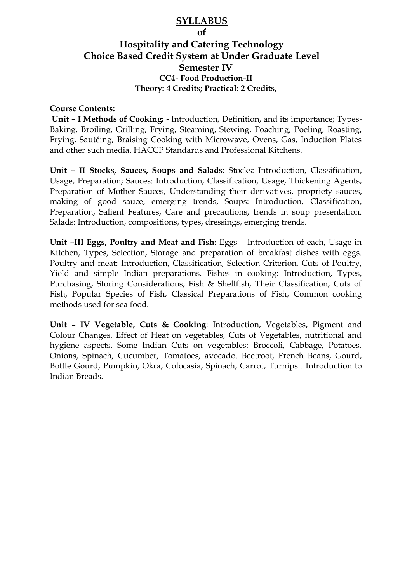## **SYLLABUS**

**of**

## **Hospitality and Catering Technology Choice Based Credit System at Under Graduate Level Semester IV CC4- Food Production-II Theory: 4 Credits; Practical: 2 Credits,**

## **Course Contents:**

**Unit – I Methods of Cooking: -** Introduction, Definition, and its importance; Types-Baking, Broiling, Grilling, Frying, Steaming, Stewing, Poaching, Poeling, Roasting, Frying, Sautéing, Braising Cooking with Microwave, Ovens, Gas, Induction Plates and other such media. HACCP Standards and Professional Kitchens.

**Unit – II Stocks, Sauces, Soups and Salads**: Stocks: Introduction, Classification, Usage, Preparation; Sauces: Introduction, Classification, Usage, Thickening Agents, Preparation of Mother Sauces, Understanding their derivatives, propriety sauces, making of good sauce, emerging trends, Soups: Introduction, Classification, Preparation, Salient Features, Care and precautions, trends in soup presentation. Salads: Introduction, compositions, types, dressings, emerging trends.

**Unit –III Eggs, Poultry and Meat and Fish:** Eggs – Introduction of each, Usage in Kitchen, Types, Selection, Storage and preparation of breakfast dishes with eggs. Poultry and meat: Introduction, Classification, Selection Criterion, Cuts of Poultry, Yield and simple Indian preparations. Fishes in cooking: Introduction, Types, Purchasing, Storing Considerations, Fish & Shellfish, Their Classification, Cuts of Fish, Popular Species of Fish, Classical Preparations of Fish, Common cooking methods used for sea food.

**Unit – IV Vegetable, Cuts & Cooking**: Introduction, Vegetables, Pigment and Colour Changes, Effect of Heat on vegetables, Cuts of Vegetables, nutritional and hygiene aspects. Some Indian Cuts on vegetables: Broccoli, Cabbage, Potatoes, Onions, Spinach, Cucumber, Tomatoes, avocado. Beetroot, French Beans, Gourd, Bottle Gourd, Pumpkin, Okra, Colocasia, Spinach, Carrot, Turnips . Introduction to Indian Breads.